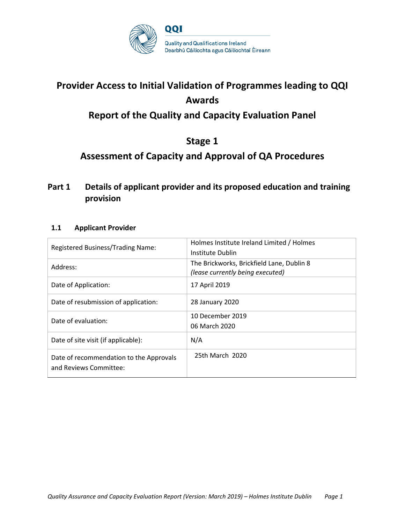

# **Provider Access to Initial Validation of Programmes leading to QQI Awards Report of the Quality and Capacity Evaluation Panel**

# **Stage 1**

# **Assessment of Capacity and Approval of QA Procedures**

### **Part 1 Details of applicant provider and its proposed education and training provision**

### **1.1 Applicant Provider**

| Registered Business/Trading Name:                                 | Holmes Institute Ireland Limited / Holmes<br>Institute Dublin                 |
|-------------------------------------------------------------------|-------------------------------------------------------------------------------|
| Address:                                                          | The Brickworks, Brickfield Lane, Dublin 8<br>(lease currently being executed) |
| Date of Application:                                              | 17 April 2019                                                                 |
| Date of resubmission of application:                              | 28 January 2020                                                               |
| Date of evaluation:                                               | 10 December 2019<br>06 March 2020                                             |
| Date of site visit (if applicable):                               | N/A                                                                           |
| Date of recommendation to the Approvals<br>and Reviews Committee: | 25th March 2020                                                               |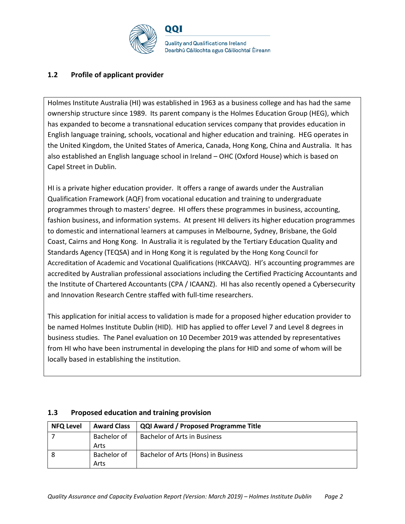

### **1.2 Profile of applicant provider**

Holmes Institute Australia (HI) was established in 1963 as a business college and has had the same ownership structure since 1989. Its parent company is the Holmes Education Group (HEG), which has expanded to become a transnational education services company that provides education in English language training, schools, vocational and higher education and training. HEG operates in the United Kingdom, the United States of America, Canada, Hong Kong, China and Australia. It has also established an English language school in Ireland – OHC (Oxford House) which is based on Capel Street in Dublin.

HI is a private higher education provider. It offers a range of awards under the Australian Qualification Framework (AQF) from vocational education and training to undergraduate programmes through to masters' degree. HI offers these programmes in business, accounting, fashion business, and information systems. At present HI delivers its higher education programmes to domestic and international learners at campuses in Melbourne, Sydney, Brisbane, the Gold Coast, Cairns and Hong Kong. In Australia it is regulated by the Tertiary Education Quality and Standards Agency (TEQSA) and in Hong Kong it is regulated by the Hong Kong Council for Accreditation of Academic and Vocational Qualifications (HKCAAVQ). HI's accounting programmes are accredited by Australian professional associations including the Certified Practicing Accountants and the Institute of Chartered Accountants (CPA / ICAANZ). HI has also recently opened a Cybersecurity and Innovation Research Centre staffed with full-time researchers.

This application for initial access to validation is made for a proposed higher education provider to be named Holmes Institute Dublin (HID). HID has applied to offer Level 7 and Level 8 degrees in business studies. The Panel evaluation on 10 December 2019 was attended by representatives from HI who have been instrumental in developing the plans for HID and some of whom will be locally based in establishing the institution.

| <b>NFQ Level</b> | <b>Award Class</b> | <b>QQI Award / Proposed Programme Title</b> |
|------------------|--------------------|---------------------------------------------|
|                  | Bachelor of        | <b>Bachelor of Arts in Business</b>         |
|                  | Arts               |                                             |
|                  | Bachelor of        | Bachelor of Arts (Hons) in Business         |
|                  | Arts               |                                             |

#### **1.3 Proposed education and training provision**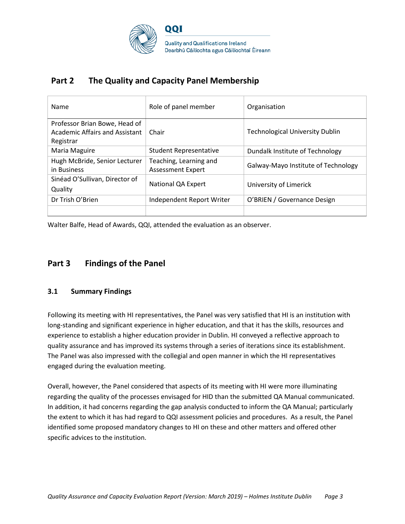

### **Part 2 The Quality and Capacity Panel Membership**

| Name                                                            | Role of panel member                               | Organisation                           |
|-----------------------------------------------------------------|----------------------------------------------------|----------------------------------------|
| Professor Brian Bowe, Head of<br>Academic Affairs and Assistant | Chair                                              | <b>Technological University Dublin</b> |
| Registrar                                                       |                                                    |                                        |
| Maria Maguire                                                   | <b>Student Representative</b>                      | Dundalk Institute of Technology        |
| Hugh McBride, Senior Lecturer<br>in Business                    | Teaching, Learning and<br><b>Assessment Expert</b> | Galway-Mayo Institute of Technology    |
| Sinéad O'Sullivan, Director of<br>Quality                       | National QA Expert                                 | University of Limerick                 |
| Dr Trish O'Brien                                                | Independent Report Writer                          | O'BRIEN / Governance Design            |
|                                                                 |                                                    |                                        |

Walter Balfe, Head of Awards, QQI, attended the evaluation as an observer.

### **Part 3 Findings of the Panel**

#### **3.1 Summary Findings**

Following its meeting with HI representatives, the Panel was very satisfied that HI is an institution with long-standing and significant experience in higher education, and that it has the skills, resources and experience to establish a higher education provider in Dublin. HI conveyed a reflective approach to quality assurance and has improved its systems through a series of iterations since its establishment. The Panel was also impressed with the collegial and open manner in which the HI representatives engaged during the evaluation meeting.

Overall, however, the Panel considered that aspects of its meeting with HI were more illuminating regarding the quality of the processes envisaged for HID than the submitted QA Manual communicated. In addition, it had concerns regarding the gap analysis conducted to inform the QA Manual; particularly the extent to which it has had regard to QQI assessment policies and procedures. As a result, the Panel identified some proposed mandatory changes to HI on these and other matters and offered other specific advices to the institution.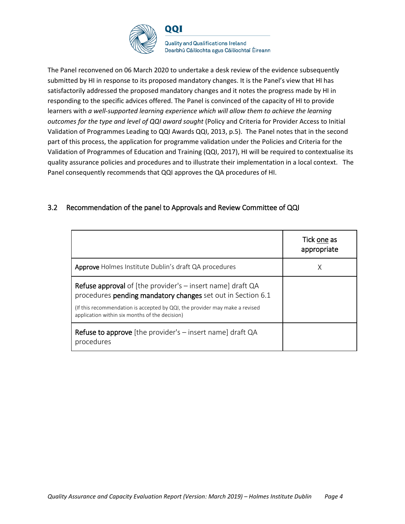

**Quality and Qualifications Ireland** Dearbhú Cáilíochta agus Cáilíochtaí Éireann

The Panel reconvened on 06 March 2020 to undertake a desk review of the evidence subsequently submitted by HI in response to its proposed mandatory changes. It is the Panel's view that HI has satisfactorily addressed the proposed mandatory changes and it notes the progress made by HI in responding to the specific advices offered. The Panel is convinced of the capacity of HI to provide learners with *a well-supported learning experience which will allow them to achieve the learning outcomes for the type and level of QQI award sought* (Policy and Criteria for Provider Access to Initial Validation of Programmes Leading to QQI Awards QQI, 2013, p.5). The Panel notes that in the second part of this process, the application for programme validation under the Policies and Criteria for the Validation of Programmes of Education and Training (QQI, 2017), HI will be required to contextualise its quality assurance policies and procedures and to illustrate their implementation in a local context. The Panel consequently recommends that QQI approves the QA procedures of HI.

### 3.2 Recommendation of the panel to Approvals and Review Committee of QQI

|                                                                                                                                                                                                                                                                     | Tick one as<br>appropriate |
|---------------------------------------------------------------------------------------------------------------------------------------------------------------------------------------------------------------------------------------------------------------------|----------------------------|
| <b>Approve</b> Holmes Institute Dublin's draft QA procedures                                                                                                                                                                                                        |                            |
| <b>Refuse approval</b> of [the provider's $-$ insert name] draft QA<br>procedures pending mandatory changes set out in Section 6.1<br>(If this recommendation is accepted by QQI, the provider may make a revised<br>application within six months of the decision) |                            |
| <b>Refuse to approve</b> [the provider's $-$ insert name] draft QA<br>procedures                                                                                                                                                                                    |                            |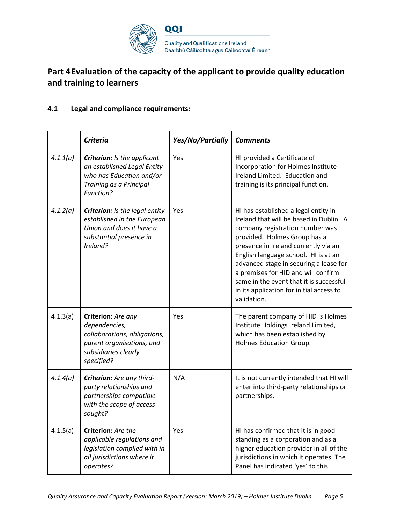

## **Part 4Evaluation of the capacity of the applicant to provide quality education and training to learners**

### **4.1 Legal and compliance requirements:**

|          | <b>Criteria</b>                                                                                                                        | Yes/No/Partially | <b>Comments</b>                                                                                                                                                                                                                                                                                                                                                                                                           |
|----------|----------------------------------------------------------------------------------------------------------------------------------------|------------------|---------------------------------------------------------------------------------------------------------------------------------------------------------------------------------------------------------------------------------------------------------------------------------------------------------------------------------------------------------------------------------------------------------------------------|
| 4.1.1(a) | Criterion: Is the applicant<br>an established Legal Entity<br>who has Education and/or<br>Training as a Principal<br>Function?         | Yes              | HI provided a Certificate of<br>Incorporation for Holmes Institute<br>Ireland Limited. Education and<br>training is its principal function.                                                                                                                                                                                                                                                                               |
| 4.1.2(a) | Criterion: Is the legal entity<br>established in the European<br>Union and does it have a<br>substantial presence in<br>Ireland?       | Yes              | HI has established a legal entity in<br>Ireland that will be based in Dublin. A<br>company registration number was<br>provided. Holmes Group has a<br>presence in Ireland currently via an<br>English language school. HI is at an<br>advanced stage in securing a lease for<br>a premises for HID and will confirm<br>same in the event that it is successful<br>in its application for initial access to<br>validation. |
| 4.1.3(a) | Criterion: Are any<br>dependencies,<br>collaborations, obligations,<br>parent organisations, and<br>subsidiaries clearly<br>specified? | Yes              | The parent company of HID is Holmes<br>Institute Holdings Ireland Limited,<br>which has been established by<br>Holmes Education Group.                                                                                                                                                                                                                                                                                    |
| 4.1.4(a) | Criterion: Are any third-<br>party relationships and<br>partnerships compatible<br>with the scope of access<br>sought?                 | N/A              | It is not currently intended that HI will<br>enter into third-party relationships or<br>partnerships.                                                                                                                                                                                                                                                                                                                     |
| 4.1.5(a) | Criterion: Are the<br>applicable regulations and<br>legislation complied with in<br>all jurisdictions where it<br>operates?            | Yes              | HI has confirmed that it is in good<br>standing as a corporation and as a<br>higher education provider in all of the<br>jurisdictions in which it operates. The<br>Panel has indicated 'yes' to this                                                                                                                                                                                                                      |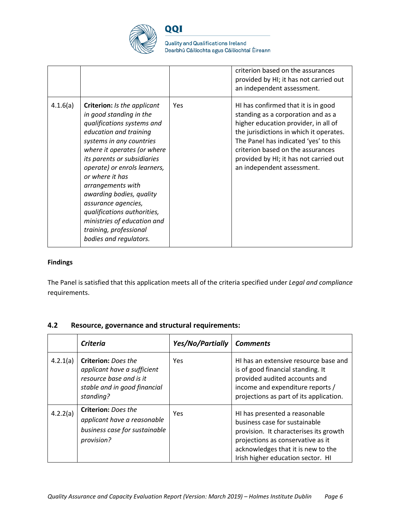

**Quality and Qualifications Ireland** Dearbhú Cáilíochta agus Cáilíochtaí Éireann

|          |                                                                                                                                                                                                                                                                                                                                                                                                                                                              |     | criterion based on the assurances<br>provided by HI; it has not carried out<br>an independent assessment.                                                                                                                                                                                                          |
|----------|--------------------------------------------------------------------------------------------------------------------------------------------------------------------------------------------------------------------------------------------------------------------------------------------------------------------------------------------------------------------------------------------------------------------------------------------------------------|-----|--------------------------------------------------------------------------------------------------------------------------------------------------------------------------------------------------------------------------------------------------------------------------------------------------------------------|
| 4.1.6(a) | <b>Criterion:</b> Is the applicant<br>in good standing in the<br>qualifications systems and<br>education and training<br>systems in any countries<br>where it operates (or where<br>its parents or subsidiaries<br>operate) or enrols learners,<br>or where it has<br>arrangements with<br>awarding bodies, quality<br>assurance agencies,<br>qualifications authorities,<br>ministries of education and<br>training, professional<br>bodies and regulators. | Yes | HI has confirmed that it is in good<br>standing as a corporation and as a<br>higher education provider, in all of<br>the jurisdictions in which it operates.<br>The Panel has indicated 'yes' to this<br>criterion based on the assurances<br>provided by HI; it has not carried out<br>an independent assessment. |

#### **Findings**

The Panel is satisfied that this application meets all of the criteria specified under *Legal and compliance*  requirements.

### **4.2 Resource, governance and structural requirements:**

|          | Criteria                                                                                                                          | Yes/No/Partially | <b>Comments</b>                                                                                                                                                                                                          |
|----------|-----------------------------------------------------------------------------------------------------------------------------------|------------------|--------------------------------------------------------------------------------------------------------------------------------------------------------------------------------------------------------------------------|
| 4.2.1(a) | <b>Criterion:</b> Does the<br>applicant have a sufficient<br>resource base and is it<br>stable and in good financial<br>standing? | <b>Yes</b>       | HI has an extensive resource base and<br>is of good financial standing. It<br>provided audited accounts and<br>income and expenditure reports /<br>projections as part of its application.                               |
| 4.2.2(a) | <b>Criterion: Does the</b><br>applicant have a reasonable<br>business case for sustainable<br>provision?                          | Yes              | HI has presented a reasonable<br>business case for sustainable<br>provision. It characterises its growth<br>projections as conservative as it<br>acknowledges that it is new to the<br>Irish higher education sector. HI |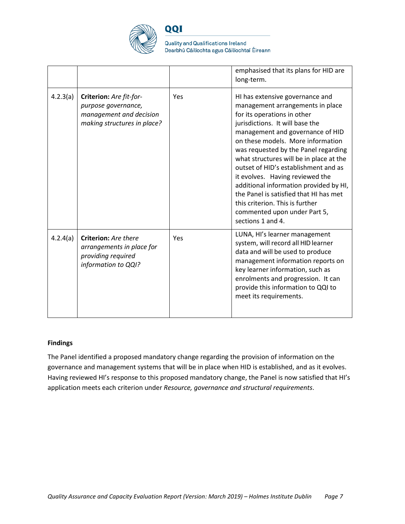

**Quality and Qualifications Ireland** Dearbhú Cáilíochta agus Cáilíochtaí Éireann

|          |                                                                                                          |     | emphasised that its plans for HID are<br>long-term.                                                                                                                                                                                                                                                                                                                                                                                                                                                                                                      |
|----------|----------------------------------------------------------------------------------------------------------|-----|----------------------------------------------------------------------------------------------------------------------------------------------------------------------------------------------------------------------------------------------------------------------------------------------------------------------------------------------------------------------------------------------------------------------------------------------------------------------------------------------------------------------------------------------------------|
| 4.2.3(a) | Criterion: Are fit-for-<br>purpose governance,<br>management and decision<br>making structures in place? | Yes | HI has extensive governance and<br>management arrangements in place<br>for its operations in other<br>jurisdictions. It will base the<br>management and governance of HID<br>on these models. More information<br>was requested by the Panel regarding<br>what structures will be in place at the<br>outset of HID's establishment and as<br>it evolves. Having reviewed the<br>additional information provided by HI,<br>the Panel is satisfied that HI has met<br>this criterion. This is further<br>commented upon under Part 5,<br>sections 1 and 4. |
| 4.2.4(a) | Criterion: Are there<br>arrangements in place for<br>providing required<br>information to QQI?           | Yes | LUNA, HI's learner management<br>system, will record all HID learner<br>data and will be used to produce<br>management information reports on<br>key learner information, such as<br>enrolments and progression. It can<br>provide this information to QQI to<br>meet its requirements.                                                                                                                                                                                                                                                                  |

#### **Findings**

The Panel identified a proposed mandatory change regarding the provision of information on the governance and management systems that will be in place when HID is established, and as it evolves. Having reviewed HI's response to this proposed mandatory change, the Panel is now satisfied that HI's application meets each criterion under *Resource, governance and structural requirements*.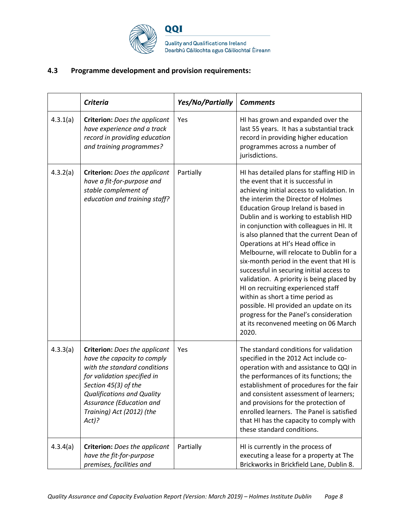

### **4.3 Programme development and provision requirements:**

|          | <b>Criteria</b>                                                                                                                                                                                                                                                     | Yes/No/Partially | <b>Comments</b>                                                                                                                                                                                                                                                                                                                                                                                                                                                                                                                                                                                                                                                                                                                                                                    |
|----------|---------------------------------------------------------------------------------------------------------------------------------------------------------------------------------------------------------------------------------------------------------------------|------------------|------------------------------------------------------------------------------------------------------------------------------------------------------------------------------------------------------------------------------------------------------------------------------------------------------------------------------------------------------------------------------------------------------------------------------------------------------------------------------------------------------------------------------------------------------------------------------------------------------------------------------------------------------------------------------------------------------------------------------------------------------------------------------------|
| 4.3.1(a) | <b>Criterion:</b> Does the applicant<br>have experience and a track<br>record in providing education<br>and training programmes?                                                                                                                                    | Yes              | HI has grown and expanded over the<br>last 55 years. It has a substantial track<br>record in providing higher education<br>programmes across a number of<br>jurisdictions.                                                                                                                                                                                                                                                                                                                                                                                                                                                                                                                                                                                                         |
| 4.3.2(a) | <b>Criterion:</b> Does the applicant<br>have a fit-for-purpose and<br>stable complement of<br>education and training staff?                                                                                                                                         | Partially        | HI has detailed plans for staffing HID in<br>the event that it is successful in<br>achieving initial access to validation. In<br>the interim the Director of Holmes<br>Education Group Ireland is based in<br>Dublin and is working to establish HID<br>in conjunction with colleagues in HI. It<br>is also planned that the current Dean of<br>Operations at HI's Head office in<br>Melbourne, will relocate to Dublin for a<br>six-month period in the event that HI is<br>successful in securing initial access to<br>validation. A priority is being placed by<br>HI on recruiting experienced staff<br>within as short a time period as<br>possible. HI provided an update on its<br>progress for the Panel's consideration<br>at its reconvened meeting on 06 March<br>2020. |
| 4.3.3(a) | <b>Criterion:</b> Does the applicant<br>have the capacity to comply<br>with the standard conditions<br>for validation specified in<br>Section 45(3) of the<br><b>Qualifications and Quality</b><br>Assurance (Education and<br>Training) Act (2012) (the<br>$Act$ ? | Yes              | The standard conditions for validation<br>specified in the 2012 Act include co-<br>operation with and assistance to QQI in<br>the performances of its functions; the<br>establishment of procedures for the fair<br>and consistent assessment of learners;<br>and provisions for the protection of<br>enrolled learners. The Panel is satisfied<br>that HI has the capacity to comply with<br>these standard conditions.                                                                                                                                                                                                                                                                                                                                                           |
| 4.3.4(a) | <b>Criterion:</b> Does the applicant<br>have the fit-for-purpose<br>premises, facilities and                                                                                                                                                                        | Partially        | HI is currently in the process of<br>executing a lease for a property at The<br>Brickworks in Brickfield Lane, Dublin 8.                                                                                                                                                                                                                                                                                                                                                                                                                                                                                                                                                                                                                                                           |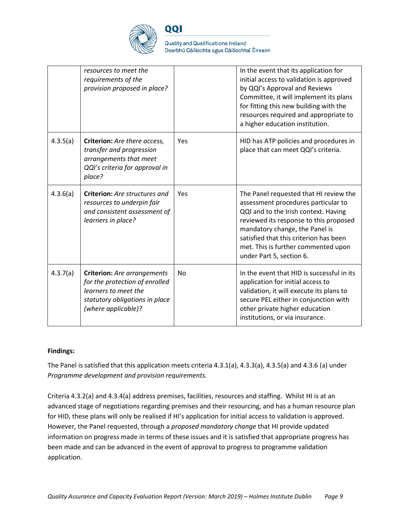

**Quality and Qualifications Ireland** Dearbhú Cáilíochta agus Cáilíochtaí Éireann

|          | resources to meet the<br>requirements of the<br>provision proposed in place?                                                                          |     | In the event that its application for<br>initial access to validation is approved<br>by QQI's Approval and Reviews<br>Committee, it will implement its plans<br>for fitting this new building with the<br>resources required and appropriate to<br>a higher education institution.                             |
|----------|-------------------------------------------------------------------------------------------------------------------------------------------------------|-----|----------------------------------------------------------------------------------------------------------------------------------------------------------------------------------------------------------------------------------------------------------------------------------------------------------------|
| 4.3.5(a) | Criterion: Are there access,<br>transfer and progression<br>arrangements that meet<br>QQI's criteria for approval in<br>place?                        | Yes | HID has ATP policies and procedures in<br>place that can meet QQI's criteria.                                                                                                                                                                                                                                  |
| 4.3.6(a) | <b>Criterion:</b> Are structures and<br>resources to underpin fair<br>and consistent assessment of<br>learners in place?                              | Yes | The Panel requested that HI review the<br>assessment procedures particular to<br>QQI and to the Irish context. Having<br>reviewed its response to this proposed<br>mandatory change, the Panel is<br>satisfied that this criterion has been<br>met. This is further commented upon<br>under Part 5, section 6. |
| 4.3.7(a) | <b>Criterion:</b> Are arrangements<br>for the protection of enrolled<br>learners to meet the<br>statutory obligations in place<br>(where applicable)? | No  | In the event that HID is successful in its<br>application for initial access to<br>validation, it will execute its plans to<br>secure PEL either in conjunction with<br>other private higher education<br>institutions, or via insurance.                                                                      |

#### **Findings:**

The Panel is satisfied that this application meets criteria 4.3.1(a), 4.3.3(a), 4.3.5(a) and 4.3.6 (a) under *Programme development and provision requirements*.

Criteria 4.3.2(a) and 4.3.4(a) address premises, facilities, resources and staffing. Whilst HI is at an advanced stage of negotiations regarding premises and their resourcing, and has a human resource plan for HID, these plans will only be realised if HI's application for initial access to validation is approved. However, the Panel requested, through a *proposed mandatory change* that HI provide updated information on progress made in terms of these issues and it is satisfied that appropriate progress has been made and can be advanced in the event of approval to progress to programme validation application.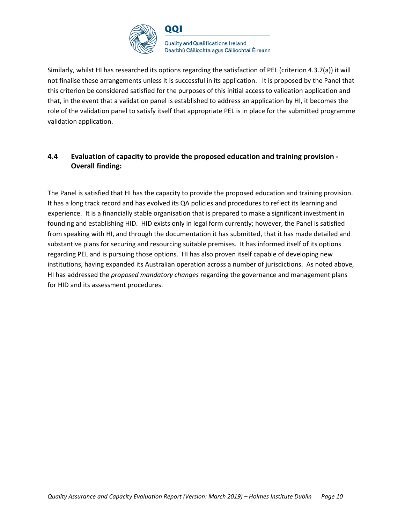

**Quality and Qualifications Ireland** Dearbhú Cáilíochta agus Cáilíochtaí Éireann

Similarly, whilst HI has researched its options regarding the satisfaction of PEL (criterion 4.3.7(a)) it will not finalise these arrangements unless it is successful in its application. It is proposed by the Panel that this criterion be considered satisfied for the purposes of this initial access to validation application and that, in the event that a validation panel is established to address an application by HI, it becomes the role of the validation panel to satisfy itself that appropriate PEL is in place for the submitted programme validation application.

### **4.4 Evaluation of capacity to provide the proposed education and training provision - Overall finding:**

The Panel is satisfied that HI has the capacity to provide the proposed education and training provision. It has a long track record and has evolved its QA policies and procedures to reflect its learning and experience. It is a financially stable organisation that is prepared to make a significant investment in founding and establishing HID. HID exists only in legal form currently; however, the Panel is satisfied from speaking with HI, and through the documentation it has submitted, that it has made detailed and substantive plans for securing and resourcing suitable premises. It has informed itself of its options regarding PEL and is pursuing those options. HI has also proven itself capable of developing new institutions, having expanded its Australian operation across a number of jurisdictions. As noted above, HI has addressed the *proposed mandatory changes* regarding the governance and management plans for HID and its assessment procedures.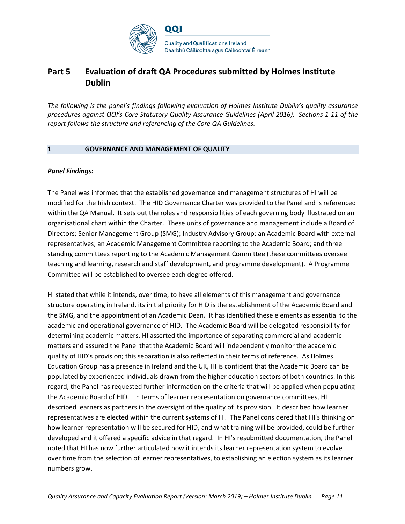

### **Part 5 Evaluation of draft QA Procedures submitted by Holmes Institute Dublin**

*The following is the panel's findings following evaluation of Holmes Institute Dublin's quality assurance procedures against QQI's Core Statutory Quality Assurance Guidelines (April 2016). Sections 1-11 of the report follows the structure and referencing of the Core QA Guidelines.* 

#### **1 GOVERNANCE AND MANAGEMENT OF QUALITY**

#### *Panel Findings:*

The Panel was informed that the established governance and management structures of HI will be modified for the Irish context. The HID Governance Charter was provided to the Panel and is referenced within the QA Manual. It sets out the roles and responsibilities of each governing body illustrated on an organisational chart within the Charter. These units of governance and management include a Board of Directors; Senior Management Group (SMG); Industry Advisory Group; an Academic Board with external representatives; an Academic Management Committee reporting to the Academic Board; and three standing committees reporting to the Academic Management Committee (these committees oversee teaching and learning, research and staff development, and programme development). A Programme Committee will be established to oversee each degree offered.

HI stated that while it intends, over time, to have all elements of this management and governance structure operating in Ireland, its initial priority for HID is the establishment of the Academic Board and the SMG, and the appointment of an Academic Dean. It has identified these elements as essential to the academic and operational governance of HID. The Academic Board will be delegated responsibility for determining academic matters. HI asserted the importance of separating commercial and academic matters and assured the Panel that the Academic Board will independently monitor the academic quality of HID's provision; this separation is also reflected in their terms of reference. As Holmes Education Group has a presence in Ireland and the UK, HI is confident that the Academic Board can be populated by experienced individuals drawn from the higher education sectors of both countries. In this regard, the Panel has requested further information on the criteria that will be applied when populating the Academic Board of HID. In terms of learner representation on governance committees, HI described learners as partners in the oversight of the quality of its provision. It described how learner representatives are elected within the current systems of HI. The Panel considered that HI's thinking on how learner representation will be secured for HID, and what training will be provided, could be further developed and it offered a specific advice in that regard. In HI's resubmitted documentation, the Panel noted that HI has now further articulated how it intends its learner representation system to evolve over time from the selection of learner representatives, to establishing an election system as its learner numbers grow.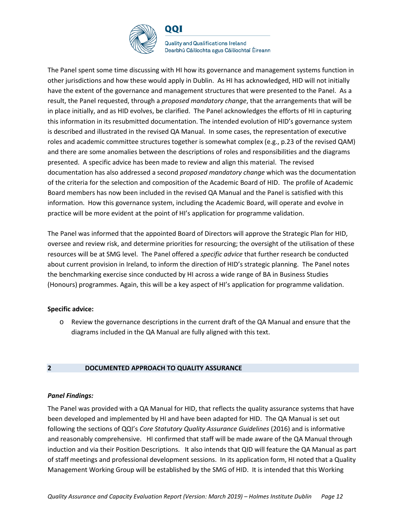

**Quality and Qualifications Ireland** Dearbhú Cáilíochta agus Cáilíochtaí Éireann

The Panel spent some time discussing with HI how its governance and management systems function in other jurisdictions and how these would apply in Dublin. As HI has acknowledged, HID will not initially have the extent of the governance and management structures that were presented to the Panel. As a result, the Panel requested, through a *proposed mandatory change*, that the arrangements that will be in place initially, and as HID evolves, be clarified. The Panel acknowledges the efforts of HI in capturing this information in its resubmitted documentation. The intended evolution of HID's governance system is described and illustrated in the revised QA Manual. In some cases, the representation of executive roles and academic committee structures together is somewhat complex (e.g., p.23 of the revised QAM) and there are some anomalies between the descriptions of roles and responsibilities and the diagrams presented. A specific advice has been made to review and align this material. The revised documentation has also addressed a second *proposed mandatory change* which was the documentation of the criteria for the selection and composition of the Academic Board of HID. The profile of Academic Board members has now been included in the revised QA Manual and the Panel is satisfied with this information. How this governance system, including the Academic Board, will operate and evolve in practice will be more evident at the point of HI's application for programme validation.

The Panel was informed that the appointed Board of Directors will approve the Strategic Plan for HID, oversee and review risk, and determine priorities for resourcing; the oversight of the utilisation of these resources will be at SMG level. The Panel offered a *specific advice* that further research be conducted about current provision in Ireland, to inform the direction of HID's strategic planning. The Panel notes the benchmarking exercise since conducted by HI across a wide range of BA in Business Studies (Honours) programmes. Again, this will be a key aspect of HI's application for programme validation.

#### **Specific advice:**

o Review the governance descriptions in the current draft of the QA Manual and ensure that the diagrams included in the QA Manual are fully aligned with this text.

#### **2 DOCUMENTED APPROACH TO QUALITY ASSURANCE**

#### *Panel Findings:*

The Panel was provided with a QA Manual for HID, that reflects the quality assurance systems that have been developed and implemented by HI and have been adapted for HID. The QA Manual is set out following the sections of QQI's *Core Statutory Quality Assurance Guidelines* (2016) and is informative and reasonably comprehensive. HI confirmed that staff will be made aware of the QA Manual through induction and via their Position Descriptions. It also intends that QID will feature the QA Manual as part of staff meetings and professional development sessions. In its application form, HI noted that a Quality Management Working Group will be established by the SMG of HID. It is intended that this Working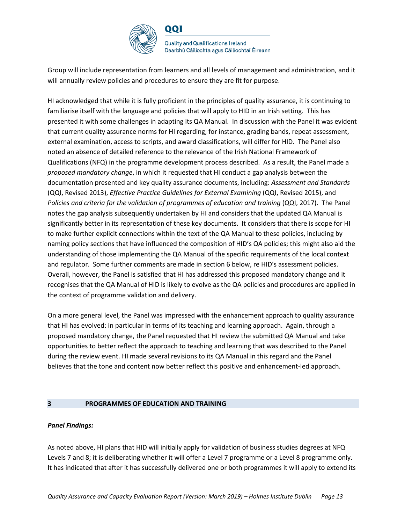

**Quality and Qualifications Ireland** Dearbhú Cáilíochta agus Cáilíochtaí Éireann

Group will include representation from learners and all levels of management and administration, and it will annually review policies and procedures to ensure they are fit for purpose.

HI acknowledged that while it is fully proficient in the principles of quality assurance, it is continuing to familiarise itself with the language and policies that will apply to HID in an Irish setting. This has presented it with some challenges in adapting its QA Manual. In discussion with the Panel it was evident that current quality assurance norms for HI regarding, for instance, grading bands, repeat assessment, external examination, access to scripts, and award classifications, will differ for HID. The Panel also noted an absence of detailed reference to the relevance of the Irish National Framework of Qualifications (NFQ) in the programme development process described. As a result, the Panel made a *proposed mandatory change*, in which it requested that HI conduct a gap analysis between the documentation presented and key quality assurance documents, including: *Assessment and Standards*  (QQI, Revised 2013), *Effective Practice Guidelines for External Examining* (QQI, Revised 2015), and *Policies and criteria for the validation of programmes of education and training (QQI, 2017). The Panel* notes the gap analysis subsequently undertaken by HI and considers that the updated QA Manual is significantly better in its representation of these key documents. It considers that there is scope for HI to make further explicit connections within the text of the QA Manual to these policies, including by naming policy sections that have influenced the composition of HID's QA policies; this might also aid the understanding of those implementing the QA Manual of the specific requirements of the local context and regulator. Some further comments are made in section 6 below, re HID's assessment policies. Overall, however, the Panel is satisfied that HI has addressed this proposed mandatory change and it recognises that the QA Manual of HID is likely to evolve as the QA policies and procedures are applied in the context of programme validation and delivery.

On a more general level, the Panel was impressed with the enhancement approach to quality assurance that HI has evolved: in particular in terms of its teaching and learning approach. Again, through a proposed mandatory change, the Panel requested that HI review the submitted QA Manual and take opportunities to better reflect the approach to teaching and learning that was described to the Panel during the review event. HI made several revisions to its QA Manual in this regard and the Panel believes that the tone and content now better reflect this positive and enhancement-led approach.

#### **3 PROGRAMMES OF EDUCATION AND TRAINING**

#### *Panel Findings:*

As noted above, HI plans that HID will initially apply for validation of business studies degrees at NFQ Levels 7 and 8; it is deliberating whether it will offer a Level 7 programme or a Level 8 programme only. It has indicated that after it has successfully delivered one or both programmes it will apply to extend its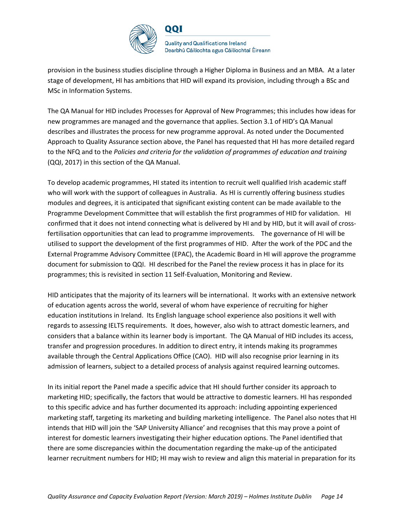

provision in the business studies discipline through a Higher Diploma in Business and an MBA. At a later stage of development, HI has ambitions that HID will expand its provision, including through a BSc and MSc in Information Systems.

The QA Manual for HID includes Processes for Approval of New Programmes; this includes how ideas for new programmes are managed and the governance that applies. Section 3.1 of HID's QA Manual describes and illustrates the process for new programme approval. As noted under the Documented Approach to Quality Assurance section above, the Panel has requested that HI has more detailed regard to the NFQ and to the *Policies and criteria for the validation of programmes of education and training*  (QQI, 2017) in this section of the QA Manual.

To develop academic programmes, HI stated its intention to recruit well qualified Irish academic staff who will work with the support of colleagues in Australia. As HI is currently offering business studies modules and degrees, it is anticipated that significant existing content can be made available to the Programme Development Committee that will establish the first programmes of HID for validation. HI confirmed that it does not intend connecting what is delivered by HI and by HID, but it will avail of crossfertilisation opportunities that can lead to programme improvements. The governance of HI will be utilised to support the development of the first programmes of HID. After the work of the PDC and the External Programme Advisory Committee (EPAC), the Academic Board in HI will approve the programme document for submission to QQI. HI described for the Panel the review process it has in place for its programmes; this is revisited in section 11 Self-Evaluation, Monitoring and Review.

HID anticipates that the majority of its learners will be international. It works with an extensive network of education agents across the world, several of whom have experience of recruiting for higher education institutions in Ireland. Its English language school experience also positions it well with regards to assessing IELTS requirements. It does, however, also wish to attract domestic learners, and considers that a balance within its learner body is important. The QA Manual of HID includes its access, transfer and progression procedures. In addition to direct entry, it intends making its programmes available through the Central Applications Office (CAO). HID will also recognise prior learning in its admission of learners, subject to a detailed process of analysis against required learning outcomes.

In its initial report the Panel made a specific advice that HI should further consider its approach to marketing HID; specifically, the factors that would be attractive to domestic learners. HI has responded to this specific advice and has further documented its approach: including appointing experienced marketing staff, targeting its marketing and building marketing intelligence. The Panel also notes that HI intends that HID will join the 'SAP University Alliance' and recognises that this may prove a point of interest for domestic learners investigating their higher education options. The Panel identified that there are some discrepancies within the documentation regarding the make-up of the anticipated learner recruitment numbers for HID; HI may wish to review and align this material in preparation for its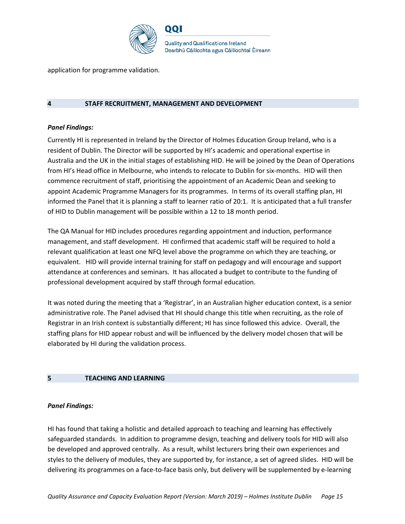

application for programme validation.

#### **4 STAFF RECRUITMENT, MANAGEMENT AND DEVELOPMENT**

#### *Panel Findings:*

Currently HI is represented in Ireland by the Director of Holmes Education Group Ireland, who is a resident of Dublin. The Director will be supported by HI's academic and operational expertise in Australia and the UK in the initial stages of establishing HID. He will be joined by the Dean of Operations from HI's Head office in Melbourne, who intends to relocate to Dublin for six-months. HID will then commence recruitment of staff, prioritising the appointment of an Academic Dean and seeking to appoint Academic Programme Managers for its programmes. In terms of its overall staffing plan, HI informed the Panel that it is planning a staff to learner ratio of 20:1. It is anticipated that a full transfer of HID to Dublin management will be possible within a 12 to 18 month period.

The QA Manual for HID includes procedures regarding appointment and induction, performance management, and staff development. HI confirmed that academic staff will be required to hold a relevant qualification at least one NFQ level above the programme on which they are teaching, or equivalent. HID will provide internal training for staff on pedagogy and will encourage and support attendance at conferences and seminars. It has allocated a budget to contribute to the funding of professional development acquired by staff through formal education.

It was noted during the meeting that a 'Registrar', in an Australian higher education context, is a senior administrative role. The Panel advised that HI should change this title when recruiting, as the role of Registrar in an Irish context is substantially different; HI has since followed this advice. Overall, the staffing plans for HID appear robust and will be influenced by the delivery model chosen that will be elaborated by HI during the validation process.

#### **5 TEACHING AND LEARNING**

#### *Panel Findings:*

HI has found that taking a holistic and detailed approach to teaching and learning has effectively safeguarded standards. In addition to programme design, teaching and delivery tools for HID will also be developed and approved centrally. As a result, whilst lecturers bring their own experiences and styles to the delivery of modules, they are supported by, for instance, a set of agreed slides. HID will be delivering its programmes on a face-to-face basis only, but delivery will be supplemented by e-learning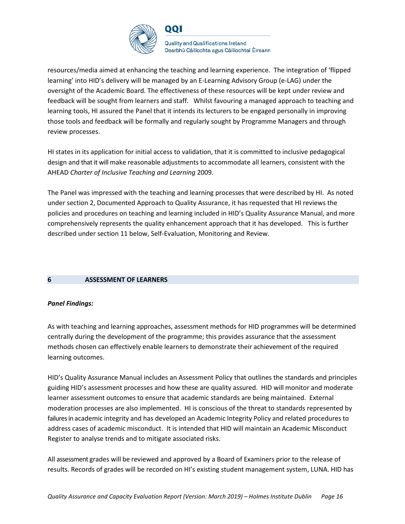

**Quality and Qualifications Ireland** Dearbhú Cáilíochta agus Cáilíochtaí Éireann

resources/media aimed at enhancing the teaching and learning experience. The integration of 'flipped learning' into HID's delivery will be managed by an E-Learning Advisory Group (e-LAG) under the oversight of the Academic Board. The effectiveness of these resources will be kept under review and feedback will be sought from learners and staff. Whilst favouring a managed approach to teaching and learning tools, HI assured the Panel that it intends its lecturers to be engaged personally in improving those tools and feedback will be formally and regularly sought by Programme Managers and through review processes.

HI states in its application for initial access to validation, that it is committed to inclusive pedagogical design and that it will make reasonable adjustments to accommodate all learners, consistent with the AHEAD *Charter of Inclusive Teaching and Learning* 2009.

The Panel was impressed with the teaching and learning processes that were described by HI. As noted under section 2, Documented Approach to Quality Assurance, it has requested that HI reviews the policies and procedures on teaching and learning included in HID's Quality Assurance Manual, and more comprehensively represents the quality enhancement approach that it has developed. This is further described under section 11 below, Self-Evaluation, Monitoring and Review.

#### **6 ASSESSMENT OF LEARNERS**

#### *Panel Findings:*

As with teaching and learning approaches, assessment methods for HID programmes will be determined centrally during the development of the programme; this provides assurance that the assessment methods chosen can effectively enable learners to demonstrate their achievement of the required learning outcomes.

HID's Quality Assurance Manual includes an Assessment Policy that outlines the standards and principles guiding HID's assessment processes and how these are quality assured. HID will monitor and moderate learner assessment outcomes to ensure that academic standards are being maintained. External moderation processes are also implemented. HI is conscious of the threat to standards represented by failures in academic integrity and has developed an Academic Integrity Policy and related procedures to address cases of academic misconduct. It is intended that HID will maintain an Academic Misconduct Register to analyse trends and to mitigate associated risks.

All assessment grades will be reviewed and approved by a Board of Examiners prior to the release of results. Records of grades will be recorded on HI's existing student management system, LUNA. HID has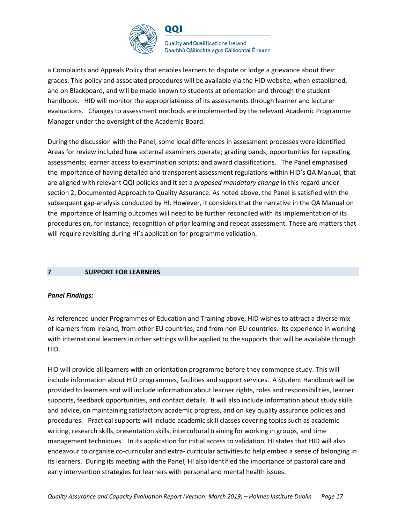

**Quality and Qualifications Ireland** Dearbhú Cáilíochta agus Cáilíochtaí Éireann

a Complaints and Appeals Policy that enables learners to dispute or lodge a grievance about their grades. This policy and associated procedures will be available via the HID website, when established, and on Blackboard, and will be made known to students at orientation and through the student handbook. HID will monitor the appropriateness of its assessments through learner and lecturer evaluations. Changes to assessment methods are implemented by the relevant Academic Programme Manager under the oversight of the Academic Board.

During the discussion with the Panel, some local differences in assessment processes were identified. Areas for review included how external examiners operate; grading bands; opportunities for repeating assessments; learner access to examination scripts; and award classifications. The Panel emphasised the importance of having detailed and transparent assessment regulations within HID's QA Manual, that are aligned with relevant QQI policies and it set a *proposed mandatory change* in this regard under section 2, Documented Approach to Quality Assurance. As noted above, the Panel is satisfied with the subsequent gap-analysis conducted by HI. However, it considers that the narrative in the QA Manual on the importance of learning outcomes will need to be further reconciled with its implementation of its procedures on, for instance, recognition of prior learning and repeat assessment. These are matters that will require revisiting during HI's application for programme validation.

#### **7 SUPPORT FOR LEARNERS**

#### *Panel Findings:*

As referenced under Programmes of Education and Training above, HID wishes to attract a diverse mix of learners from Ireland, from other EU countries, and from non-EU countries. Its experience in working with international learners in other settings will be applied to the supports that will be available through HID.

HID will provide all learners with an orientation programme before they commence study. This will include information about HID programmes, facilities and support services. A Student Handbook will be provided to learners and will include information about learner rights, roles and responsibilities, learner supports, feedback opportunities, and contact details. It will also include information about study skills and advice, on maintaining satisfactory academic progress, and on key quality assurance policies and procedures. Practical supports will include academic skill classes covering topics such as academic writing, research skills, presentation skills, intercultural training for working in groups, and time management techniques. In its application for initial access to validation, HI states that HID will also endeavour to organise co-curricular and extra- curricular activities to help embed a sense of belonging in its learners. During its meeting with the Panel, HI also identified the importance of pastoral care and early intervention strategies for learners with personal and mental health issues.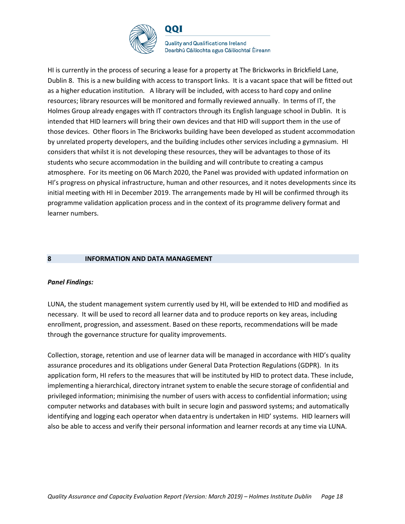

**Quality and Qualifications Ireland** Dearbhú Cáilíochta agus Cáilíochtaí Éireann

HI is currently in the process of securing a lease for a property at The Brickworks in Brickfield Lane, Dublin 8. This is a new building with access to transport links. It is a vacant space that will be fitted out as a higher education institution. A library will be included, with access to hard copy and online resources; library resources will be monitored and formally reviewed annually. In terms of IT, the Holmes Group already engages with IT contractors through its English language school in Dublin. It is intended that HID learners will bring their own devices and that HID will support them in the use of those devices. Other floors in The Brickworks building have been developed as student accommodation by unrelated property developers, and the building includes other services including a gymnasium. HI considers that whilst it is not developing these resources, they will be advantages to those of its students who secure accommodation in the building and will contribute to creating a campus atmosphere. For its meeting on 06 March 2020, the Panel was provided with updated information on HI's progress on physical infrastructure, human and other resources, and it notes developments since its initial meeting with HI in December 2019. The arrangements made by HI will be confirmed through its programme validation application process and in the context of its programme delivery format and learner numbers.

#### **8 INFORMATION AND DATA MANAGEMENT**

#### *Panel Findings:*

LUNA, the student management system currently used by HI, will be extended to HID and modified as necessary. It will be used to record all learner data and to produce reports on key areas, including enrollment, progression, and assessment. Based on these reports, recommendations will be made through the governance structure for quality improvements.

Collection, storage, retention and use of learner data will be managed in accordance with HID's quality assurance procedures and its obligations under General Data Protection Regulations (GDPR). In its application form, HI refers to the measures that will be instituted by HID to protect data. These include, implementing a hierarchical, directory intranet system to enable the secure storage of confidential and privileged information; minimising the number of users with access to confidential information; using computer networks and databases with built in secure login and password systems; and automatically identifying and logging each operator when dataentry is undertaken in HID' systems. HID learners will also be able to access and verify their personal information and learner records at any time via LUNA.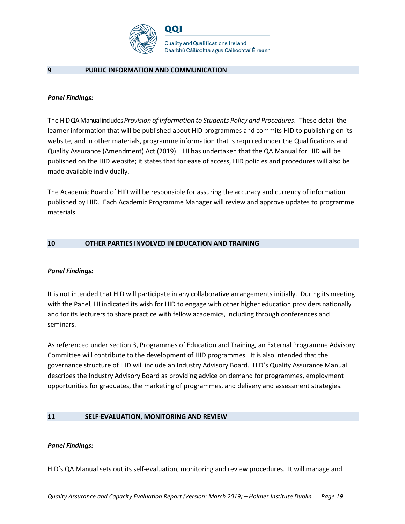

#### **9 PUBLIC INFORMATION AND COMMUNICATION**

#### *Panel Findings:*

The HID QA Manual includes *Provision of Information to Students Policy and Procedures*. These detail the learner information that will be published about HID programmes and commits HID to publishing on its website, and in other materials, programme information that is required under the Qualifications and Quality Assurance (Amendment) Act (2019). HI has undertaken that the QA Manual for HID will be published on the HID website; it states that for ease of access, HID policies and procedures will also be made available individually.

The Academic Board of HID will be responsible for assuring the accuracy and currency of information published by HID. Each Academic Programme Manager will review and approve updates to programme materials.

#### **10 OTHER PARTIES INVOLVED IN EDUCATION AND TRAINING**

#### *Panel Findings:*

It is not intended that HID will participate in any collaborative arrangements initially. During its meeting with the Panel, HI indicated its wish for HID to engage with other higher education providers nationally and for its lecturers to share practice with fellow academics, including through conferences and seminars.

As referenced under section 3, Programmes of Education and Training, an External Programme Advisory Committee will contribute to the development of HID programmes. It is also intended that the governance structure of HID will include an Industry Advisory Board. HID's Quality Assurance Manual describes the Industry Advisory Board as providing advice on demand for programmes, employment opportunities for graduates, the marketing of programmes, and delivery and assessment strategies.

#### **11 SELF-EVALUATION, MONITORING AND REVIEW**

#### *Panel Findings:*

HID's QA Manual sets out its self-evaluation, monitoring and review procedures. It will manage and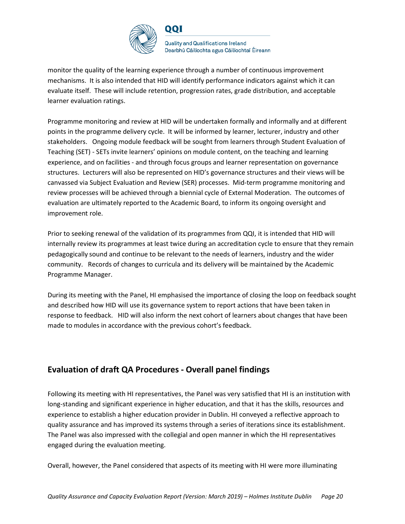

**Quality and Qualifications Ireland** Dearbhú Cáilíochta agus Cáilíochtaí Éireann

monitor the quality of the learning experience through a number of continuous improvement mechanisms. It is also intended that HID will identify performance indicators against which it can evaluate itself. These will include retention, progression rates, grade distribution, and acceptable learner evaluation ratings.

QQI

Programme monitoring and review at HID will be undertaken formally and informally and at different points in the programme delivery cycle. It will be informed by learner, lecturer, industry and other stakeholders. Ongoing module feedback will be sought from learners through Student Evaluation of Teaching (SET) - SETs invite learners' opinions on module content, on the teaching and learning experience, and on facilities - and through focus groups and learner representation on governance structures. Lecturers will also be represented on HID's governance structures and their views will be canvassed via Subject Evaluation and Review (SER) processes. Mid-term programme monitoring and review processes will be achieved through a biennial cycle of External Moderation. The outcomes of evaluation are ultimately reported to the Academic Board, to inform its ongoing oversight and improvement role.

Prior to seeking renewal of the validation of its programmes from QQI, it is intended that HID will internally review its programmes at least twice during an accreditation cycle to ensure that they remain pedagogically sound and continue to be relevant to the needs of learners, industry and the wider community. Records of changes to curricula and its delivery will be maintained by the Academic Programme Manager.

During its meeting with the Panel, HI emphasised the importance of closing the loop on feedback sought and described how HID will use its governance system to report actions that have been taken in response to feedback. HID will also inform the next cohort of learners about changes that have been made to modules in accordance with the previous cohort's feedback.

### **Evaluation of draft QA Procedures - Overall panel findings**

Following its meeting with HI representatives, the Panel was very satisfied that HI is an institution with long-standing and significant experience in higher education, and that it has the skills, resources and experience to establish a higher education provider in Dublin. HI conveyed a reflective approach to quality assurance and has improved its systems through a series of iterations since its establishment. The Panel was also impressed with the collegial and open manner in which the HI representatives engaged during the evaluation meeting.

Overall, however, the Panel considered that aspects of its meeting with HI were more illuminating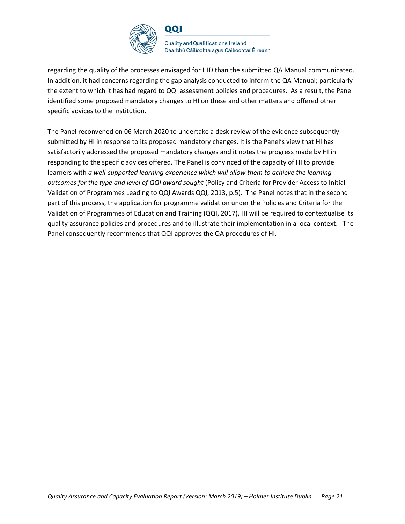

**Quality and Qualifications Ireland** Dearbhú Cáilíochta agus Cáilíochtaí Éireann

regarding the quality of the processes envisaged for HID than the submitted QA Manual communicated. In addition, it had concerns regarding the gap analysis conducted to inform the QA Manual; particularly the extent to which it has had regard to QQI assessment policies and procedures. As a result, the Panel identified some proposed mandatory changes to HI on these and other matters and offered other specific advices to the institution.

The Panel reconvened on 06 March 2020 to undertake a desk review of the evidence subsequently submitted by HI in response to its proposed mandatory changes. It is the Panel's view that HI has satisfactorily addressed the proposed mandatory changes and it notes the progress made by HI in responding to the specific advices offered. The Panel is convinced of the capacity of HI to provide learners with *a well-supported learning experience which will allow them to achieve the learning outcomes for the type and level of QQI award sought* (Policy and Criteria for Provider Access to Initial Validation of Programmes Leading to QQI Awards QQI, 2013, p.5). The Panel notes that in the second part of this process, the application for programme validation under the Policies and Criteria for the Validation of Programmes of Education and Training (QQI, 2017), HI will be required to contextualise its quality assurance policies and procedures and to illustrate their implementation in a local context. The Panel consequently recommends that QQI approves the QA procedures of HI.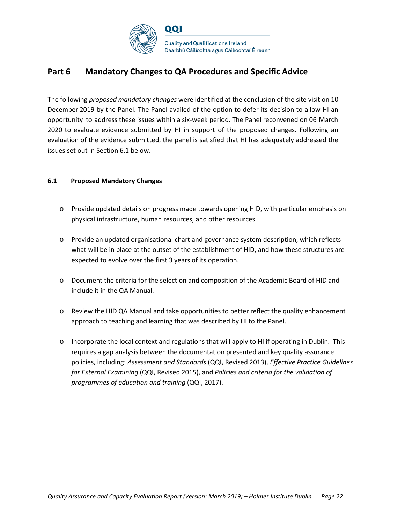

### **Part 6 Mandatory Changes to QA Procedures and Specific Advice**

The following *proposed mandatory changes* were identified at the conclusion of the site visit on 10 December 2019 by the Panel. The Panel availed of the option to defer its decision to allow HI an opportunity to address these issues within a six-week period. The Panel reconvened on 06 March 2020 to evaluate evidence submitted by HI in support of the proposed changes. Following an evaluation of the evidence submitted, the panel is satisfied that HI has adequately addressed the issues set out in Section 6.1 below.

#### **6.1 Proposed Mandatory Changes**

- o Provide updated details on progress made towards opening HID, with particular emphasis on physical infrastructure, human resources, and other resources.
- o Provide an updated organisational chart and governance system description, which reflects what will be in place at the outset of the establishment of HID, and how these structures are expected to evolve over the first 3 years of its operation.
- o Document the criteria for the selection and composition of the Academic Board of HID and include it in the QA Manual.
- o Review the HID QA Manual and take opportunities to better reflect the quality enhancement approach to teaching and learning that was described by HI to the Panel.
- o Incorporate the local context and regulations that will apply to HI if operating in Dublin. This requires a gap analysis between the documentation presented and key quality assurance policies, including: *Assessment and Standards* (QQI, Revised 2013), *Effective Practice Guidelines for External Examining* (QQI, Revised 2015), and *Policies and criteria for the validation of programmes of education and training* (QQI, 2017).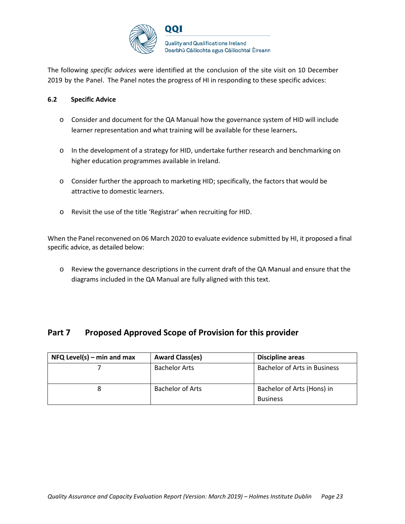

The following *specific advices* were identified at the conclusion of the site visit on 10 December 2019 by the Panel. The Panel notes the progress of HI in responding to these specific advices:

#### **6.2 Specific Advice**

- o Consider and document for the QA Manual how the governance system of HID will include learner representation and what training will be available for these learners**.**
- o In the development of a strategy for HID, undertake further research and benchmarking on higher education programmes available in Ireland.
- o Consider further the approach to marketing HID; specifically, the factors that would be attractive to domestic learners.
- o Revisit the use of the title 'Registrar' when recruiting for HID.

When the Panel reconvened on 06 March 2020 to evaluate evidence submitted by HI, it proposed a final specific advice, as detailed below:

o Review the governance descriptions in the current draft of the QA Manual and ensure that the diagrams included in the QA Manual are fully aligned with this text.

### **Part 7 Proposed Approved Scope of Provision for this provider**

| $NFA$ Level(s) – min and max | <b>Award Class(es)</b>  | <b>Discipline areas</b>             |
|------------------------------|-------------------------|-------------------------------------|
|                              | <b>Bachelor Arts</b>    | <b>Bachelor of Arts in Business</b> |
|                              | <b>Bachelor of Arts</b> | Bachelor of Arts (Hons) in          |
|                              |                         | <b>Business</b>                     |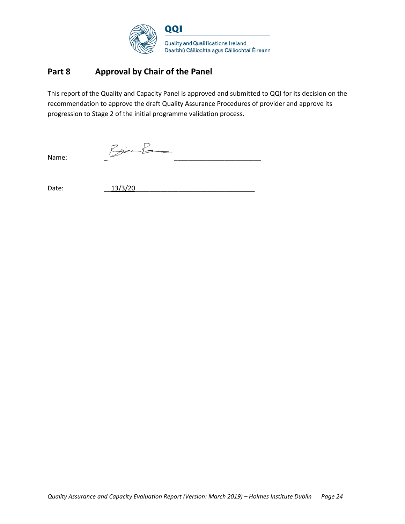

### **Part 8 Approval by Chair of the Panel**

This report of the Quality and Capacity Panel is approved and submitted to QQI for its decision on the recommendation to approve the draft Quality Assurance Procedures of provider and approve its progression to Stage 2 of the initial programme validation process.

 $\normalsize$ Name:

Date: 13/3/20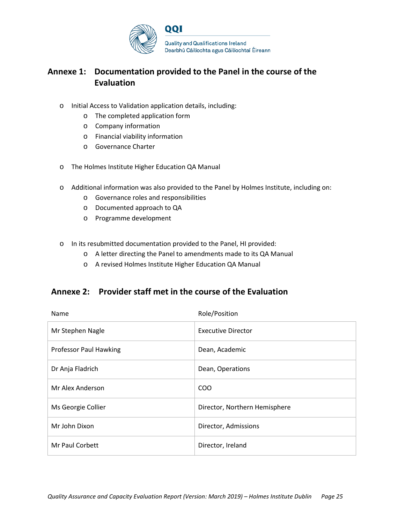

### **Annexe 1: Documentation provided to the Panel in the course of the Evaluation**

- o Initial Access to Validation application details, including:
	- o The completed application form
	- o Company information
	- o Financial viability information
	- o Governance Charter
- o The Holmes Institute Higher Education QA Manual
- o Additional information was also provided to the Panel by Holmes Institute, including on:
	- o Governance roles and responsibilities
	- o Documented approach to QA
	- o Programme development
- o In its resubmitted documentation provided to the Panel, HI provided:
	- o A letter directing the Panel to amendments made to its QA Manual
	- o A revised Holmes Institute Higher Education QA Manual

### **Annexe 2: Provider staff met in the course of the Evaluation**

| Name                          | Role/Position                 |
|-------------------------------|-------------------------------|
| Mr Stephen Nagle              | <b>Executive Director</b>     |
| <b>Professor Paul Hawking</b> | Dean, Academic                |
| Dr Anja Fladrich              | Dean, Operations              |
| Mr Alex Anderson              | <b>COO</b>                    |
| Ms Georgie Collier            | Director, Northern Hemisphere |
| Mr John Dixon                 | Director, Admissions          |
| Mr Paul Corbett               | Director, Ireland             |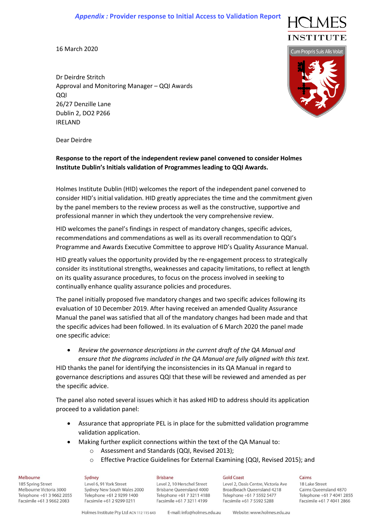#### *Appendix :* **Provider response to Initial Access to Validation Report**



16 March 2020

Dr Deirdre Stritch Approval and Monitoring Manager – QQI Awards QQI 26/27 Denzille Lane Dublin 2, DO2 P266 IRELAND



Dear Deirdre

#### **Response to the report of the independent review panel convened to consider Holmes Institute Dublin's Initials validation of Programmes leading to QQI Awards.**

Holmes Institute Dublin (HID) welcomes the report of the independent panel convened to consider HID's initial validation. HID greatly appreciates the time and the commitment given by the panel members to the review process as well as the constructive, supportive and professional manner in which they undertook the very comprehensive review.

HID welcomes the panel's findings in respect of mandatory changes, specific advices, recommendations and commendations as well as its overall recommendation to QQI's Programme and Awards Executive Committee to approve HID's Quality Assurance Manual.

HID greatly values the opportunity provided by the re-engagement process to strategically consider its institutional strengths, weaknesses and capacity limitations, to reflect at length on its quality assurance procedures, to focus on the process involved in seeking to continually enhance quality assurance policies and procedures.

The panel initially proposed five mandatory changes and two specific advices following its evaluation of 10 December 2019. After having received an amended Quality Assurance Manual the panel was satisfied that all of the mandatory changes had been made and that the specific advices had been followed. In its evaluation of 6 March 2020 the panel made one specific advice:

• *Review the governance descriptions in the current draft of the QA Manual and ensure that the diagrams included in the QA Manual are fully aligned with this text.* HID thanks the panel for identifying the inconsistencies in its QA Manual in regard to governance descriptions and assures QQI that these will be reviewed and amended as per the specific advice.

The panel also noted several issues which it has asked HID to address should its application proceed to a validation panel:

- Assurance that appropriate PEL is in place for the submitted validation programme validation application.
- Making further explicit connections within the text of the QA Manual to:
	- o Assessment and Standards (QQI, Revised 2013);
	- o Effective Practice Guidelines for External Examining (QQI, Revised 2015); and

#### Melbourne

185 Spring Street Melbourne Victoria 3000 Telephone +61 3 9662 2055 Facsimile +61 3 9662 2083

Sydney Level 6, 91 York Street Sydney New South Wales 2000 Telephone +61 2 9299 1400 Facsimile +61 2 9299 0211

#### **Brisbane**

Level 2, 10 Herschel Street Brisbane Oueensland 4000 Telephone +61 7 3211 4188 Facsimile +61 7 3211 4199

Level 2, Oasis Centre, Victoria Ave Broadbeach Oueensland 4218 Telephone +61 7 5592 5477 Facsimile +61 7 5592 5288

Cairns

18 Lake Street Cairns Oueensland 4870 Telephone +61 7 4041 2855 Facsimile +61 7 4041 2866

**Gold Coast**